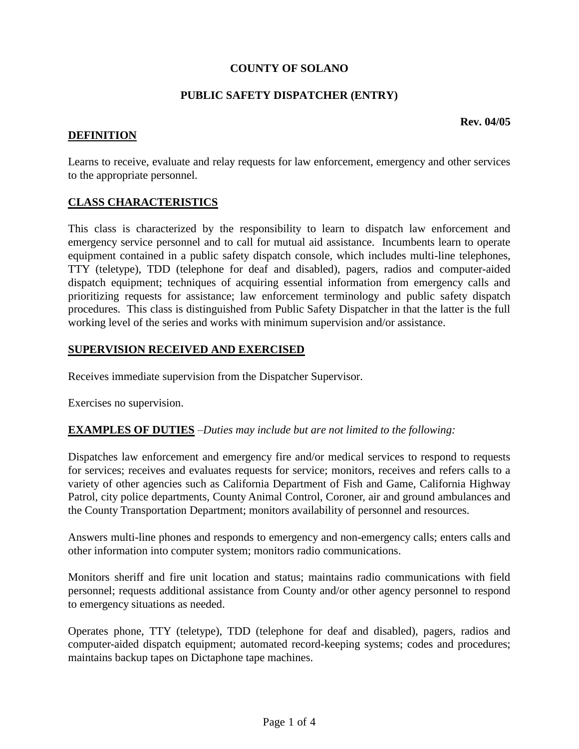## **COUNTY OF SOLANO**

### **PUBLIC SAFETY DISPATCHER (ENTRY)**

**Rev. 04/05**

## **DEFINITION**

Learns to receive, evaluate and relay requests for law enforcement, emergency and other services to the appropriate personnel.

### **CLASS CHARACTERISTICS**

This class is characterized by the responsibility to learn to dispatch law enforcement and emergency service personnel and to call for mutual aid assistance. Incumbents learn to operate equipment contained in a public safety dispatch console, which includes multi-line telephones, TTY (teletype), TDD (telephone for deaf and disabled), pagers, radios and computer-aided dispatch equipment; techniques of acquiring essential information from emergency calls and prioritizing requests for assistance; law enforcement terminology and public safety dispatch procedures. This class is distinguished from Public Safety Dispatcher in that the latter is the full working level of the series and works with minimum supervision and/or assistance.

### **SUPERVISION RECEIVED AND EXERCISED**

Receives immediate supervision from the Dispatcher Supervisor.

Exercises no supervision.

#### **EXAMPLES OF DUTIES** *–Duties may include but are not limited to the following:*

Dispatches law enforcement and emergency fire and/or medical services to respond to requests for services; receives and evaluates requests for service; monitors, receives and refers calls to a variety of other agencies such as California Department of Fish and Game, California Highway Patrol, city police departments, County Animal Control, Coroner, air and ground ambulances and the County Transportation Department; monitors availability of personnel and resources.

Answers multi-line phones and responds to emergency and non-emergency calls; enters calls and other information into computer system; monitors radio communications.

Monitors sheriff and fire unit location and status; maintains radio communications with field personnel; requests additional assistance from County and/or other agency personnel to respond to emergency situations as needed.

Operates phone, TTY (teletype), TDD (telephone for deaf and disabled), pagers, radios and computer-aided dispatch equipment; automated record-keeping systems; codes and procedures; maintains backup tapes on Dictaphone tape machines.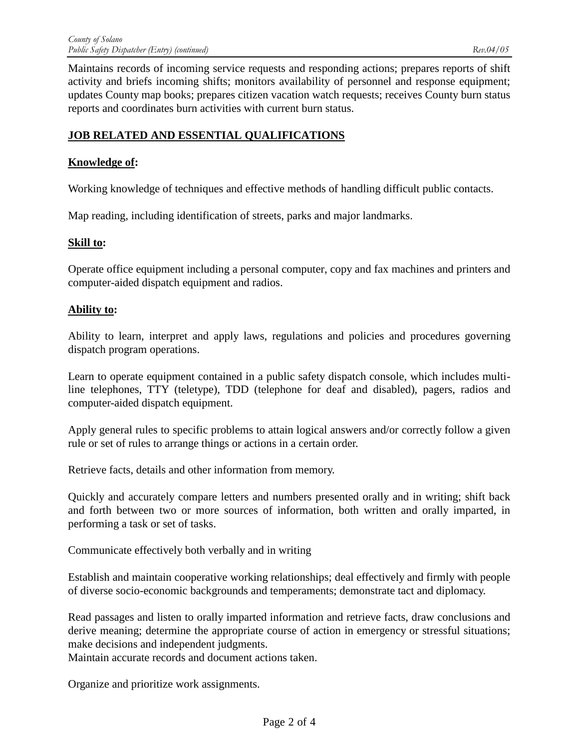Maintains records of incoming service requests and responding actions; prepares reports of shift activity and briefs incoming shifts; monitors availability of personnel and response equipment; updates County map books; prepares citizen vacation watch requests; receives County burn status reports and coordinates burn activities with current burn status.

# **JOB RELATED AND ESSENTIAL QUALIFICATIONS**

### **Knowledge of:**

Working knowledge of techniques and effective methods of handling difficult public contacts.

Map reading, including identification of streets, parks and major landmarks.

#### **Skill to:**

Operate office equipment including a personal computer, copy and fax machines and printers and computer-aided dispatch equipment and radios.

#### **Ability to:**

Ability to learn, interpret and apply laws, regulations and policies and procedures governing dispatch program operations.

Learn to operate equipment contained in a public safety dispatch console, which includes multiline telephones, TTY (teletype), TDD (telephone for deaf and disabled), pagers, radios and computer-aided dispatch equipment.

Apply general rules to specific problems to attain logical answers and/or correctly follow a given rule or set of rules to arrange things or actions in a certain order.

Retrieve facts, details and other information from memory.

Quickly and accurately compare letters and numbers presented orally and in writing; shift back and forth between two or more sources of information, both written and orally imparted, in performing a task or set of tasks.

Communicate effectively both verbally and in writing

Establish and maintain cooperative working relationships; deal effectively and firmly with people of diverse socio-economic backgrounds and temperaments; demonstrate tact and diplomacy.

Read passages and listen to orally imparted information and retrieve facts, draw conclusions and derive meaning; determine the appropriate course of action in emergency or stressful situations; make decisions and independent judgments.

Maintain accurate records and document actions taken.

Organize and prioritize work assignments.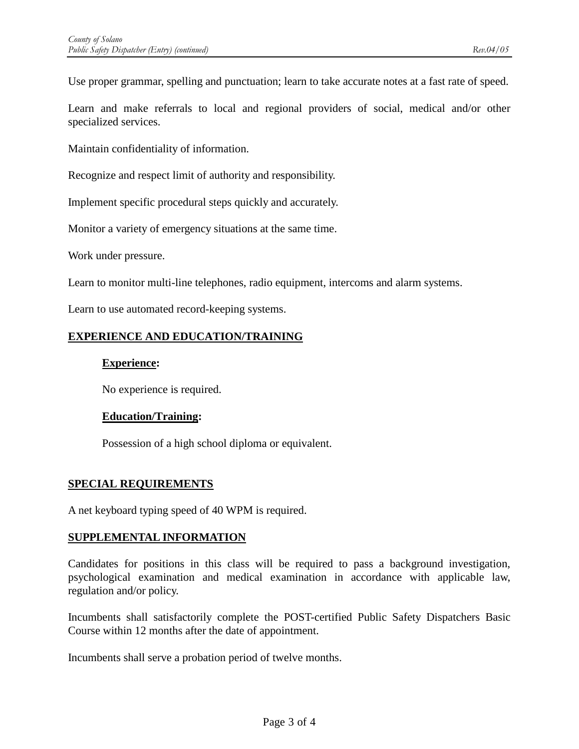Use proper grammar, spelling and punctuation; learn to take accurate notes at a fast rate of speed.

Learn and make referrals to local and regional providers of social, medical and/or other specialized services.

Maintain confidentiality of information.

Recognize and respect limit of authority and responsibility.

Implement specific procedural steps quickly and accurately.

Monitor a variety of emergency situations at the same time.

Work under pressure.

Learn to monitor multi-line telephones, radio equipment, intercoms and alarm systems.

Learn to use automated record-keeping systems.

## **EXPERIENCE AND EDUCATION/TRAINING**

### **Experience:**

No experience is required.

## **Education/Training:**

Possession of a high school diploma or equivalent.

## **SPECIAL REQUIREMENTS**

A net keyboard typing speed of 40 WPM is required.

#### **SUPPLEMENTAL INFORMATION**

Candidates for positions in this class will be required to pass a background investigation, psychological examination and medical examination in accordance with applicable law, regulation and/or policy.

Incumbents shall satisfactorily complete the POST-certified Public Safety Dispatchers Basic Course within 12 months after the date of appointment.

Incumbents shall serve a probation period of twelve months.